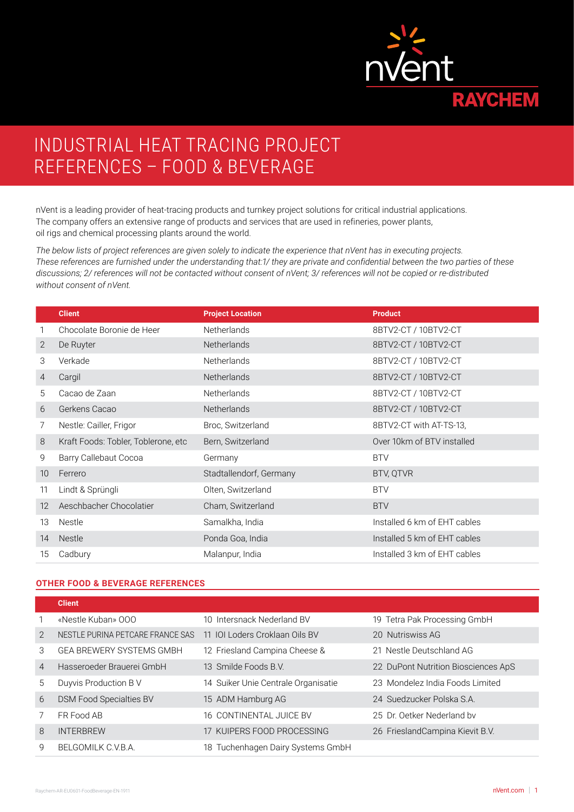

# INDUSTRIAL HEAT TRACING PROJECT REFERENCES – FOOD & BEVERAGE

nVent is a leading provider of heat-tracing products and turnkey project solutions for critical industrial applications. The company offers an extensive range of products and services that are used in refineries, power plants, oil rigs and chemical processing plants around the world.

*The below lists of project references are given solely to indicate the experience that nVent has in executing projects. These references are furnished under the understanding that:1/ they are private and confidential between the two parties of these discussions; 2/ references will not be contacted without consent of nVent; 3/ references will not be copied or re-distributed without consent of nVent.*

|                | <b>Client</b>                       | <b>Project Location</b> | <b>Product</b>               |
|----------------|-------------------------------------|-------------------------|------------------------------|
|                | Chocolate Boronie de Heer           | <b>Netherlands</b>      | 8BTV2-CT / 10BTV2-CT         |
| 2              | De Ruyter                           | Netherlands             | 8BTV2-CT / 10BTV2-CT         |
| 3              | Verkade                             | <b>Netherlands</b>      | 8BTV2-CT / 10BTV2-CT         |
| $\overline{4}$ | Cargil                              | <b>Netherlands</b>      | 8BTV2-CT / 10BTV2-CT         |
| 5              | Cacao de Zaan                       | <b>Netherlands</b>      | 8BTV2-CT / 10BTV2-CT         |
| 6              | Gerkens Cacao                       | <b>Netherlands</b>      | 8BTV2-CT / 10BTV2-CT         |
| $\overline{7}$ | Nestle: Cailler, Frigor             | Broc, Switzerland       | 8BTV2-CT with AT-TS-13,      |
| 8              | Kraft Foods: Tobler, Toblerone, etc | Bern, Switzerland       | Over 10km of BTV installed   |
| 9              | Barry Callebaut Cocoa               | Germany                 | <b>BTV</b>                   |
| 10             | Ferrero                             | Stadtallendorf, Germany | BTV, QTVR                    |
| 11             | Lindt & Sprüngli                    | Olten, Switzerland      | <b>BTV</b>                   |
| 12             | Aeschbacher Chocolatier             | Cham, Switzerland       | <b>BTV</b>                   |
| 13             | <b>Nestle</b>                       | Samalkha, India         | Installed 6 km of EHT cables |
| 14             | <b>Nestle</b>                       | Ponda Goa, India        | Installed 5 km of EHT cables |
| 15             | Cadbury                             | Malanpur, India         | Installed 3 km of EHT cables |

#### **OTHER FOOD & BEVERAGE REFERENCES**

|                | <b>Client</b>                    |                                     |                                     |
|----------------|----------------------------------|-------------------------------------|-------------------------------------|
|                | «Nestle Kuban» 000               | 10 Intersnack Nederland BV          | 19 Tetra Pak Processing GmbH        |
| $\mathcal{P}$  | NESTLE PURINA PETCARE FRANCE SAS | 11 IOI Loders Croklaan Oils BV      | 20 Nutriswiss AG                    |
| 3              | GEA BREWERY SYSTEMS GMBH         | 12 Friesland Campina Cheese &       | 21 Nestle Deutschland AG            |
| $\overline{4}$ | Hasseroeder Brauerei GmbH        | 13 Smilde Foods B.V.                | 22 DuPont Nutrition Biosciences ApS |
| 5              | Duyvis Production B V            | 14 Suiker Unie Centrale Organisatie | 23 Mondelez India Foods Limited     |
| 6              | <b>DSM Food Specialties BV</b>   | 15 ADM Hamburg AG                   | 24 Suedzucker Polska S.A.           |
|                | FR Food AB                       | 16 CONTINENTAL JUICE BV             | 25 Dr. Oetker Nederland by          |
| 8              | <b>INTERBREW</b>                 | 17 KUIPERS FOOD PROCESSING          | 26 FrieslandCampina Kievit B.V.     |
| 9              | BELGOMILK C.V.B.A.               | 18 Tuchenhagen Dairy Systems GmbH   |                                     |